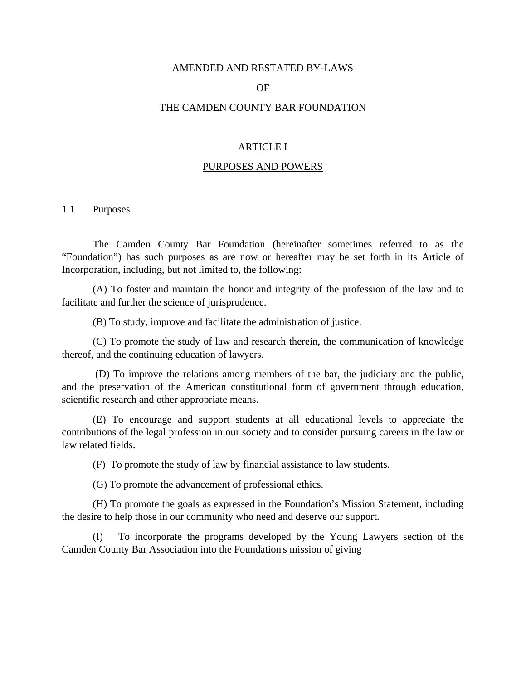#### AMENDED AND RESTATED BY-LAWS

#### OF

#### THE CAMDEN COUNTY BAR FOUNDATION

## ARTICLE I

### PURPOSES AND POWERS

### 1.1 Purposes

The Camden County Bar Foundation (hereinafter sometimes referred to as the "Foundation") has such purposes as are now or hereafter may be set forth in its Article of Incorporation, including, but not limited to, the following:

 (A) To foster and maintain the honor and integrity of the profession of the law and to facilitate and further the science of jurisprudence.

(B) To study, improve and facilitate the administration of justice.

 (C) To promote the study of law and research therein, the communication of knowledge thereof, and the continuing education of lawyers.

 (D) To improve the relations among members of the bar, the judiciary and the public, and the preservation of the American constitutional form of government through education, scientific research and other appropriate means.

 (E) To encourage and support students at all educational levels to appreciate the contributions of the legal profession in our society and to consider pursuing careers in the law or law related fields.

(F) To promote the study of law by financial assistance to law students.

(G) To promote the advancement of professional ethics.

 (H) To promote the goals as expressed in the Foundation's Mission Statement, including the desire to help those in our community who need and deserve our support.

 (I) To incorporate the programs developed by the Young Lawyers section of the Camden County Bar Association into the Foundation's mission of giving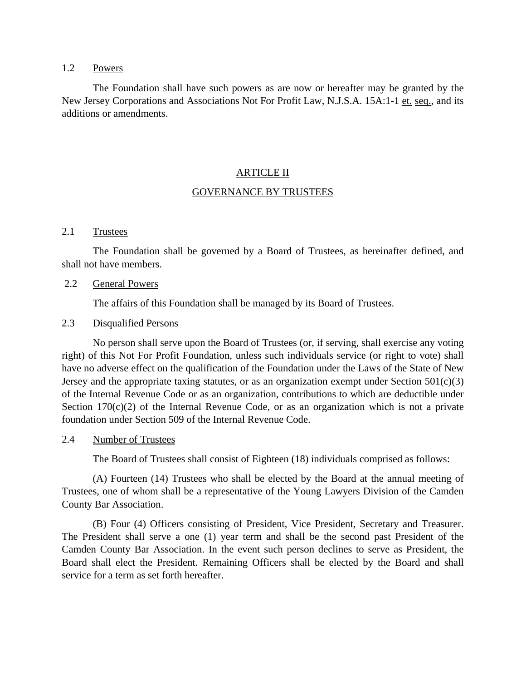## 1.2 Powers

 The Foundation shall have such powers as are now or hereafter may be granted by the New Jersey Corporations and Associations Not For Profit Law, N.J.S.A. 15A:1-1 et. seq., and its additions or amendments.

### ARTICLE II

### GOVERNANCE BY TRUSTEES

### 2.1 Trustees

 The Foundation shall be governed by a Board of Trustees, as hereinafter defined, and shall not have members.

### 2.2 General Powers

The affairs of this Foundation shall be managed by its Board of Trustees.

### 2.3 Disqualified Persons

 No person shall serve upon the Board of Trustees (or, if serving, shall exercise any voting right) of this Not For Profit Foundation, unless such individuals service (or right to vote) shall have no adverse effect on the qualification of the Foundation under the Laws of the State of New Jersey and the appropriate taxing statutes, or as an organization exempt under Section  $501(c)(3)$ of the Internal Revenue Code or as an organization, contributions to which are deductible under Section  $170(c)(2)$  of the Internal Revenue Code, or as an organization which is not a private foundation under Section 509 of the Internal Revenue Code.

### 2.4 Number of Trustees

The Board of Trustees shall consist of Eighteen (18) individuals comprised as follows:

 (A) Fourteen (14) Trustees who shall be elected by the Board at the annual meeting of Trustees, one of whom shall be a representative of the Young Lawyers Division of the Camden County Bar Association.

 (B) Four (4) Officers consisting of President, Vice President, Secretary and Treasurer. The President shall serve a one (1) year term and shall be the second past President of the Camden County Bar Association. In the event such person declines to serve as President, the Board shall elect the President. Remaining Officers shall be elected by the Board and shall service for a term as set forth hereafter.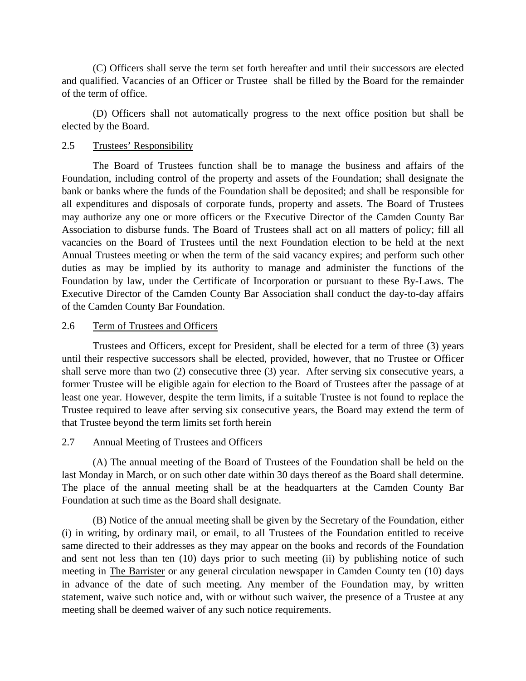(C) Officers shall serve the term set forth hereafter and until their successors are elected and qualified. Vacancies of an Officer or Trustee shall be filled by the Board for the remainder of the term of office.

 (D) Officers shall not automatically progress to the next office position but shall be elected by the Board.

## 2.5 Trustees' Responsibility

 The Board of Trustees function shall be to manage the business and affairs of the Foundation, including control of the property and assets of the Foundation; shall designate the bank or banks where the funds of the Foundation shall be deposited; and shall be responsible for all expenditures and disposals of corporate funds, property and assets. The Board of Trustees may authorize any one or more officers or the Executive Director of the Camden County Bar Association to disburse funds. The Board of Trustees shall act on all matters of policy; fill all vacancies on the Board of Trustees until the next Foundation election to be held at the next Annual Trustees meeting or when the term of the said vacancy expires; and perform such other duties as may be implied by its authority to manage and administer the functions of the Foundation by law, under the Certificate of Incorporation or pursuant to these By-Laws. The Executive Director of the Camden County Bar Association shall conduct the day-to-day affairs of the Camden County Bar Foundation.

## 2.6 Term of Trustees and Officers

 Trustees and Officers, except for President, shall be elected for a term of three (3) years until their respective successors shall be elected, provided, however, that no Trustee or Officer shall serve more than two (2) consecutive three (3) year. After serving six consecutive years, a former Trustee will be eligible again for election to the Board of Trustees after the passage of at least one year. However, despite the term limits, if a suitable Trustee is not found to replace the Trustee required to leave after serving six consecutive years, the Board may extend the term of that Trustee beyond the term limits set forth herein

## 2.7 Annual Meeting of Trustees and Officers

 (A) The annual meeting of the Board of Trustees of the Foundation shall be held on the last Monday in March, or on such other date within 30 days thereof as the Board shall determine. The place of the annual meeting shall be at the headquarters at the Camden County Bar Foundation at such time as the Board shall designate.

 (B) Notice of the annual meeting shall be given by the Secretary of the Foundation, either (i) in writing, by ordinary mail, or email, to all Trustees of the Foundation entitled to receive same directed to their addresses as they may appear on the books and records of the Foundation and sent not less than ten (10) days prior to such meeting (ii) by publishing notice of such meeting in The Barrister or any general circulation newspaper in Camden County ten (10) days in advance of the date of such meeting. Any member of the Foundation may, by written statement, waive such notice and, with or without such waiver, the presence of a Trustee at any meeting shall be deemed waiver of any such notice requirements.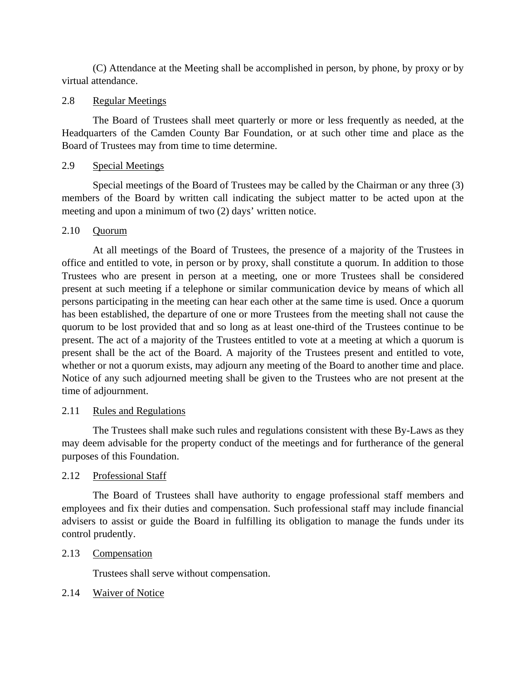(C) Attendance at the Meeting shall be accomplished in person, by phone, by proxy or by virtual attendance.

## 2.8 Regular Meetings

 The Board of Trustees shall meet quarterly or more or less frequently as needed, at the Headquarters of the Camden County Bar Foundation, or at such other time and place as the Board of Trustees may from time to time determine.

## 2.9 Special Meetings

 Special meetings of the Board of Trustees may be called by the Chairman or any three (3) members of the Board by written call indicating the subject matter to be acted upon at the meeting and upon a minimum of two (2) days' written notice.

## 2.10 Quorum

 At all meetings of the Board of Trustees, the presence of a majority of the Trustees in office and entitled to vote, in person or by proxy, shall constitute a quorum. In addition to those Trustees who are present in person at a meeting, one or more Trustees shall be considered present at such meeting if a telephone or similar communication device by means of which all persons participating in the meeting can hear each other at the same time is used. Once a quorum has been established, the departure of one or more Trustees from the meeting shall not cause the quorum to be lost provided that and so long as at least one-third of the Trustees continue to be present. The act of a majority of the Trustees entitled to vote at a meeting at which a quorum is present shall be the act of the Board. A majority of the Trustees present and entitled to vote, whether or not a quorum exists, may adjourn any meeting of the Board to another time and place. Notice of any such adjourned meeting shall be given to the Trustees who are not present at the time of adjournment.

### 2.11 Rules and Regulations

 The Trustees shall make such rules and regulations consistent with these By-Laws as they may deem advisable for the property conduct of the meetings and for furtherance of the general purposes of this Foundation.

## 2.12 Professional Staff

 The Board of Trustees shall have authority to engage professional staff members and employees and fix their duties and compensation. Such professional staff may include financial advisers to assist or guide the Board in fulfilling its obligation to manage the funds under its control prudently.

2.13 Compensation

Trustees shall serve without compensation.

## 2.14 Waiver of Notice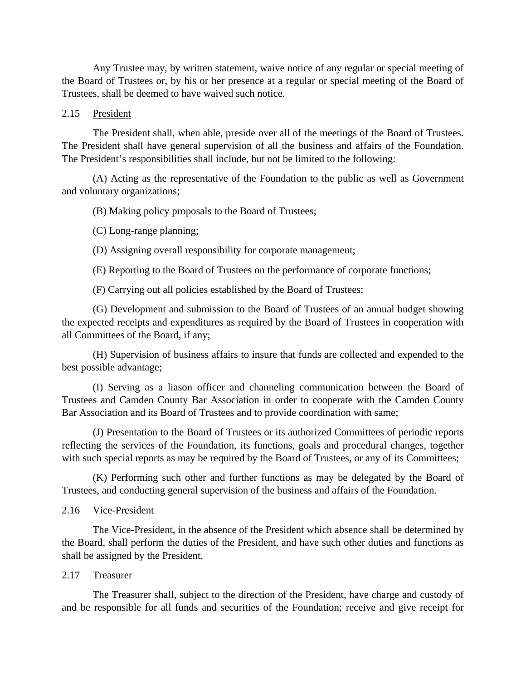Any Trustee may, by written statement, waive notice of any regular or special meeting of the Board of Trustees or, by his or her presence at a regular or special meeting of the Board of Trustees, shall be deemed to have waived such notice.

## 2.15 President

 The President shall, when able, preside over all of the meetings of the Board of Trustees. The President shall have general supervision of all the business and affairs of the Foundation. The President's responsibilities shall include, but not be limited to the following:

 (A) Acting as the representative of the Foundation to the public as well as Government and voluntary organizations;

(B) Making policy proposals to the Board of Trustees;

(C) Long-range planning;

(D) Assigning overall responsibility for corporate management;

(E) Reporting to the Board of Trustees on the performance of corporate functions;

(F) Carrying out all policies established by the Board of Trustees;

 (G) Development and submission to the Board of Trustees of an annual budget showing the expected receipts and expenditures as required by the Board of Trustees in cooperation with all Committees of the Board, if any;

 (H) Supervision of business affairs to insure that funds are collected and expended to the best possible advantage;

 (I) Serving as a liason officer and channeling communication between the Board of Trustees and Camden County Bar Association in order to cooperate with the Camden County Bar Association and its Board of Trustees and to provide coordination with same;

 (J) Presentation to the Board of Trustees or its authorized Committees of periodic reports reflecting the services of the Foundation, its functions, goals and procedural changes, together with such special reports as may be required by the Board of Trustees, or any of its Committees;

 (K) Performing such other and further functions as may be delegated by the Board of Trustees, and conducting general supervision of the business and affairs of the Foundation.

## 2.16 Vice-President

 The Vice-President, in the absence of the President which absence shall be determined by the Board, shall perform the duties of the President, and have such other duties and functions as shall be assigned by the President.

## 2.17 Treasurer

 The Treasurer shall, subject to the direction of the President, have charge and custody of and be responsible for all funds and securities of the Foundation; receive and give receipt for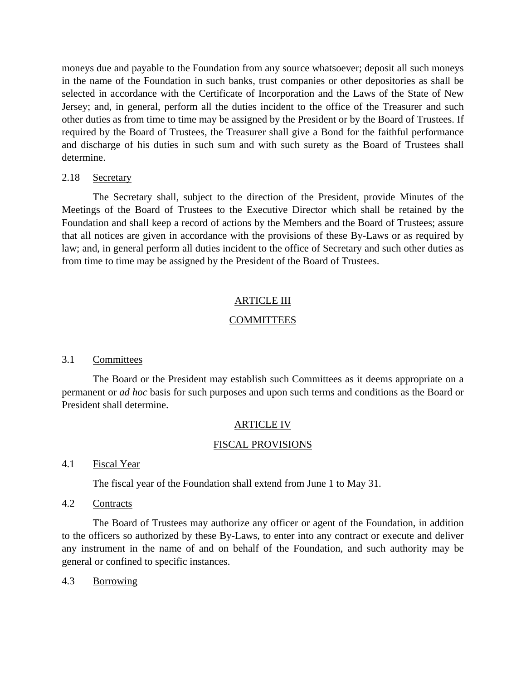moneys due and payable to the Foundation from any source whatsoever; deposit all such moneys in the name of the Foundation in such banks, trust companies or other depositories as shall be selected in accordance with the Certificate of Incorporation and the Laws of the State of New Jersey; and, in general, perform all the duties incident to the office of the Treasurer and such other duties as from time to time may be assigned by the President or by the Board of Trustees. If required by the Board of Trustees, the Treasurer shall give a Bond for the faithful performance and discharge of his duties in such sum and with such surety as the Board of Trustees shall determine.

## 2.18 Secretary

 The Secretary shall, subject to the direction of the President, provide Minutes of the Meetings of the Board of Trustees to the Executive Director which shall be retained by the Foundation and shall keep a record of actions by the Members and the Board of Trustees; assure that all notices are given in accordance with the provisions of these By-Laws or as required by law; and, in general perform all duties incident to the office of Secretary and such other duties as from time to time may be assigned by the President of the Board of Trustees.

## ARTICLE III

## **COMMITTEES**

### 3.1 Committees

 The Board or the President may establish such Committees as it deems appropriate on a permanent or *ad hoc* basis for such purposes and upon such terms and conditions as the Board or President shall determine.

### ARTICLE IV

### FISCAL PROVISIONS

### 4.1 Fiscal Year

The fiscal year of the Foundation shall extend from June 1 to May 31.

## 4.2 Contracts

 The Board of Trustees may authorize any officer or agent of the Foundation, in addition to the officers so authorized by these By-Laws, to enter into any contract or execute and deliver any instrument in the name of and on behalf of the Foundation, and such authority may be general or confined to specific instances.

### 4.3 Borrowing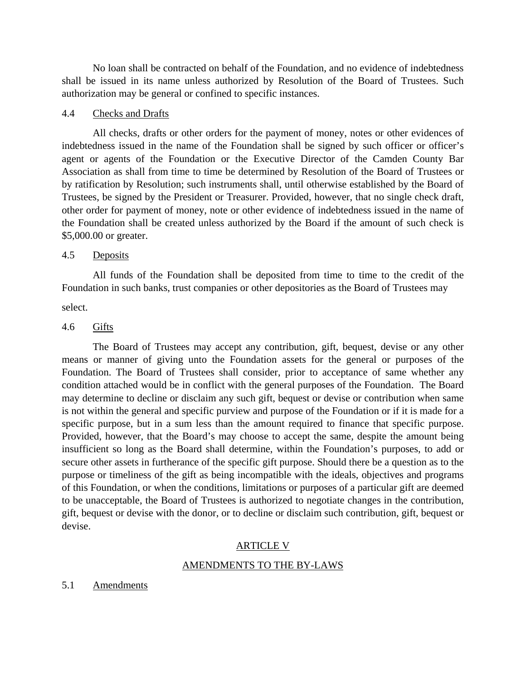No loan shall be contracted on behalf of the Foundation, and no evidence of indebtedness shall be issued in its name unless authorized by Resolution of the Board of Trustees. Such authorization may be general or confined to specific instances.

## 4.4 Checks and Drafts

 All checks, drafts or other orders for the payment of money, notes or other evidences of indebtedness issued in the name of the Foundation shall be signed by such officer or officer's agent or agents of the Foundation or the Executive Director of the Camden County Bar Association as shall from time to time be determined by Resolution of the Board of Trustees or by ratification by Resolution; such instruments shall, until otherwise established by the Board of Trustees, be signed by the President or Treasurer. Provided, however, that no single check draft, other order for payment of money, note or other evidence of indebtedness issued in the name of the Foundation shall be created unless authorized by the Board if the amount of such check is \$5,000.00 or greater.

### 4.5 Deposits

 All funds of the Foundation shall be deposited from time to time to the credit of the Foundation in such banks, trust companies or other depositories as the Board of Trustees may

select.

## 4.6 Gifts

 The Board of Trustees may accept any contribution, gift, bequest, devise or any other means or manner of giving unto the Foundation assets for the general or purposes of the Foundation. The Board of Trustees shall consider, prior to acceptance of same whether any condition attached would be in conflict with the general purposes of the Foundation. The Board may determine to decline or disclaim any such gift, bequest or devise or contribution when same is not within the general and specific purview and purpose of the Foundation or if it is made for a specific purpose, but in a sum less than the amount required to finance that specific purpose. Provided, however, that the Board's may choose to accept the same, despite the amount being insufficient so long as the Board shall determine, within the Foundation's purposes, to add or secure other assets in furtherance of the specific gift purpose. Should there be a question as to the purpose or timeliness of the gift as being incompatible with the ideals, objectives and programs of this Foundation, or when the conditions, limitations or purposes of a particular gift are deemed to be unacceptable, the Board of Trustees is authorized to negotiate changes in the contribution, gift, bequest or devise with the donor, or to decline or disclaim such contribution, gift, bequest or devise.

### ARTICLE V

### AMENDMENTS TO THE BY-LAWS

### 5.1 Amendments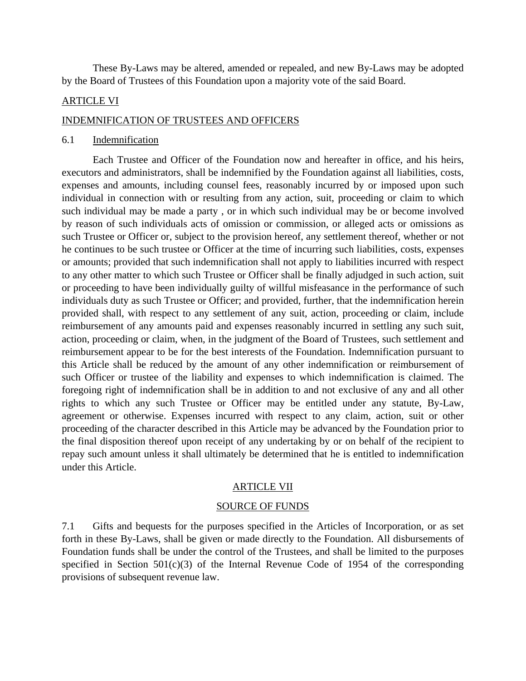These By-Laws may be altered, amended or repealed, and new By-Laws may be adopted by the Board of Trustees of this Foundation upon a majority vote of the said Board.

### ARTICLE VI

#### INDEMNIFICATION OF TRUSTEES AND OFFICERS

### 6.1 Indemnification

 Each Trustee and Officer of the Foundation now and hereafter in office, and his heirs, executors and administrators, shall be indemnified by the Foundation against all liabilities, costs, expenses and amounts, including counsel fees, reasonably incurred by or imposed upon such individual in connection with or resulting from any action, suit, proceeding or claim to which such individual may be made a party , or in which such individual may be or become involved by reason of such individuals acts of omission or commission, or alleged acts or omissions as such Trustee or Officer or, subject to the provision hereof, any settlement thereof, whether or not he continues to be such trustee or Officer at the time of incurring such liabilities, costs, expenses or amounts; provided that such indemnification shall not apply to liabilities incurred with respect to any other matter to which such Trustee or Officer shall be finally adjudged in such action, suit or proceeding to have been individually guilty of willful misfeasance in the performance of such individuals duty as such Trustee or Officer; and provided, further, that the indemnification herein provided shall, with respect to any settlement of any suit, action, proceeding or claim, include reimbursement of any amounts paid and expenses reasonably incurred in settling any such suit, action, proceeding or claim, when, in the judgment of the Board of Trustees, such settlement and reimbursement appear to be for the best interests of the Foundation. Indemnification pursuant to this Article shall be reduced by the amount of any other indemnification or reimbursement of such Officer or trustee of the liability and expenses to which indemnification is claimed. The foregoing right of indemnification shall be in addition to and not exclusive of any and all other rights to which any such Trustee or Officer may be entitled under any statute, By-Law, agreement or otherwise. Expenses incurred with respect to any claim, action, suit or other proceeding of the character described in this Article may be advanced by the Foundation prior to the final disposition thereof upon receipt of any undertaking by or on behalf of the recipient to repay such amount unless it shall ultimately be determined that he is entitled to indemnification under this Article.

### ARTICLE VII

#### SOURCE OF FUNDS

7.1 Gifts and bequests for the purposes specified in the Articles of Incorporation, or as set forth in these By-Laws, shall be given or made directly to the Foundation. All disbursements of Foundation funds shall be under the control of the Trustees, and shall be limited to the purposes specified in Section  $501(c)(3)$  of the Internal Revenue Code of 1954 of the corresponding provisions of subsequent revenue law.